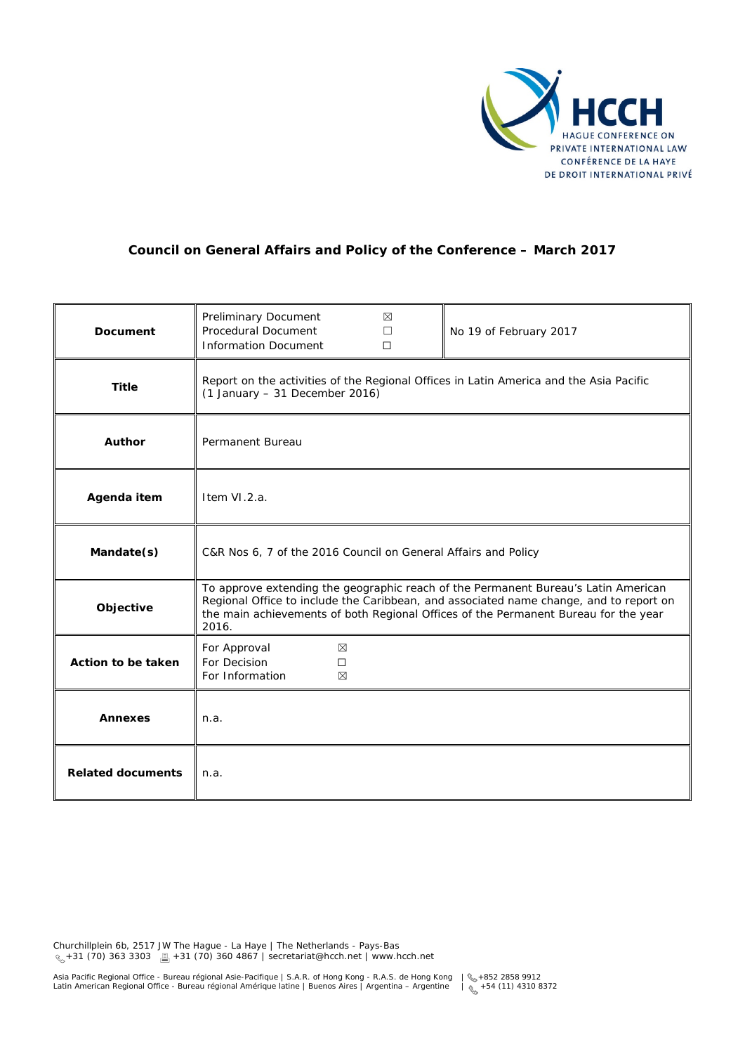

# **Council on General Affairs and Policy of the Conference – March 2017**

| Document                 | Preliminary Document<br>⊠<br>Procedural Document<br>No 19 of February 2017<br>П<br><b>Information Document</b><br>$\Box$                                                                                                                                                     |
|--------------------------|------------------------------------------------------------------------------------------------------------------------------------------------------------------------------------------------------------------------------------------------------------------------------|
| <b>Title</b>             | Report on the activities of the Regional Offices in Latin America and the Asia Pacific<br>$(1$ January - 31 December 2016)                                                                                                                                                   |
| <b>Author</b>            | Permanent Bureau                                                                                                                                                                                                                                                             |
| Agenda item              | Item VI.2.a.                                                                                                                                                                                                                                                                 |
| Mandate(s)               | C&R Nos 6, 7 of the 2016 Council on General Affairs and Policy                                                                                                                                                                                                               |
| Objective                | To approve extending the geographic reach of the Permanent Bureau's Latin American<br>Regional Office to include the Caribbean, and associated name change, and to report on<br>the main achievements of both Regional Offices of the Permanent Bureau for the year<br>2016. |
| Action to be taken       | For Approval<br>⊠<br>For Decision<br>П<br>For Information<br>⊠                                                                                                                                                                                                               |
| <b>Annexes</b>           | n.a.                                                                                                                                                                                                                                                                         |
| <b>Related documents</b> | n.a.                                                                                                                                                                                                                                                                         |

Churchillplein 6b, 2517 JW The Hague - La Haye | The Netherlands - Pays-Bas +31 (70) 363 3303 +31 (70) 360 4867 | secretariat@hcch.net | www.hcch.net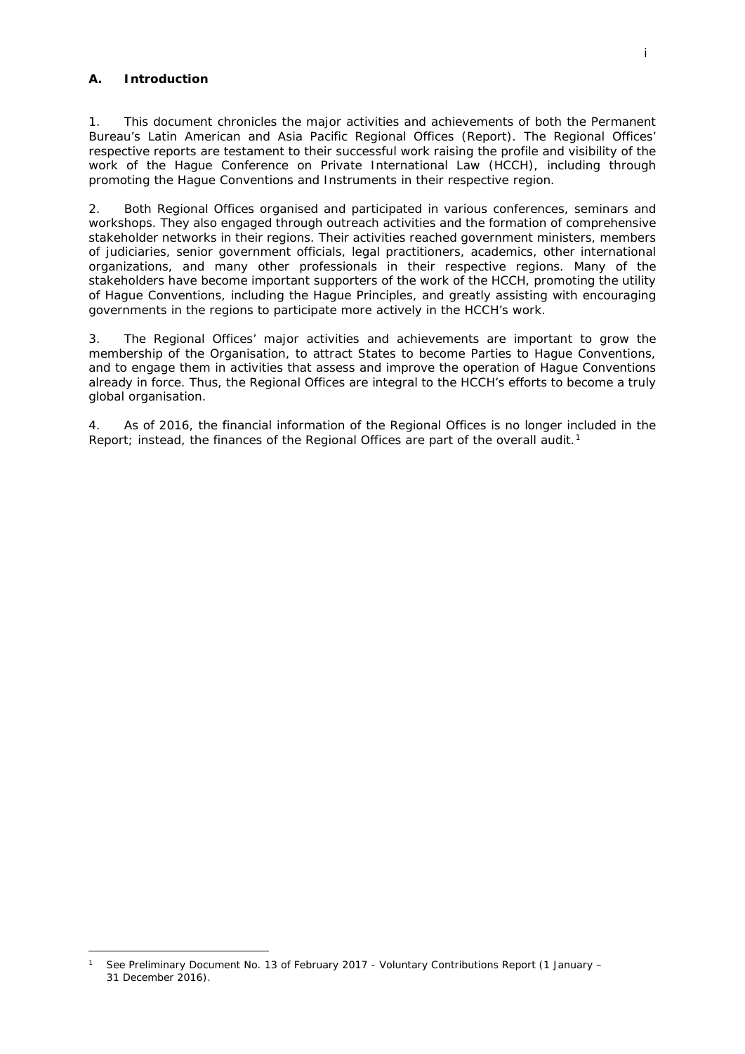### **A. Introduction**

-

1. This document chronicles the major activities and achievements of both the Permanent Bureau's Latin American and Asia Pacific Regional Offices (Report). The Regional Offices' respective reports are testament to their successful work raising the profile and visibility of the work of the Hague Conference on Private International Law (HCCH), including through promoting the Hague Conventions and Instruments in their respective region.

2. Both Regional Offices organised and participated in various conferences, seminars and workshops. They also engaged through outreach activities and the formation of comprehensive stakeholder networks in their regions. Their activities reached government ministers, members of judiciaries, senior government officials, legal practitioners, academics, other international organizations, and many other professionals in their respective regions. Many of the stakeholders have become important supporters of the work of the HCCH, promoting the utility of Hague Conventions, including the Hague Principles, and greatly assisting with encouraging governments in the regions to participate more actively in the HCCH's work.

3. The Regional Offices' major activities and achievements are important to grow the membership of the Organisation, to attract States to become Parties to Hague Conventions, and to engage them in activities that assess and improve the operation of Hague Conventions already in force. Thus, the Regional Offices are integral to the HCCH's efforts to become a truly global organisation.

4. As of 2016, the financial information of the Regional Offices is no longer included in the Report; instead, the finances of the Regional Offices are part of the overall audit.<sup>[1](#page-1-0)</sup>

<span id="page-1-0"></span><sup>1</sup> See Preliminary Document No. 13 of February 2017 - Voluntary Contributions Report (1 January – 31 December 2016).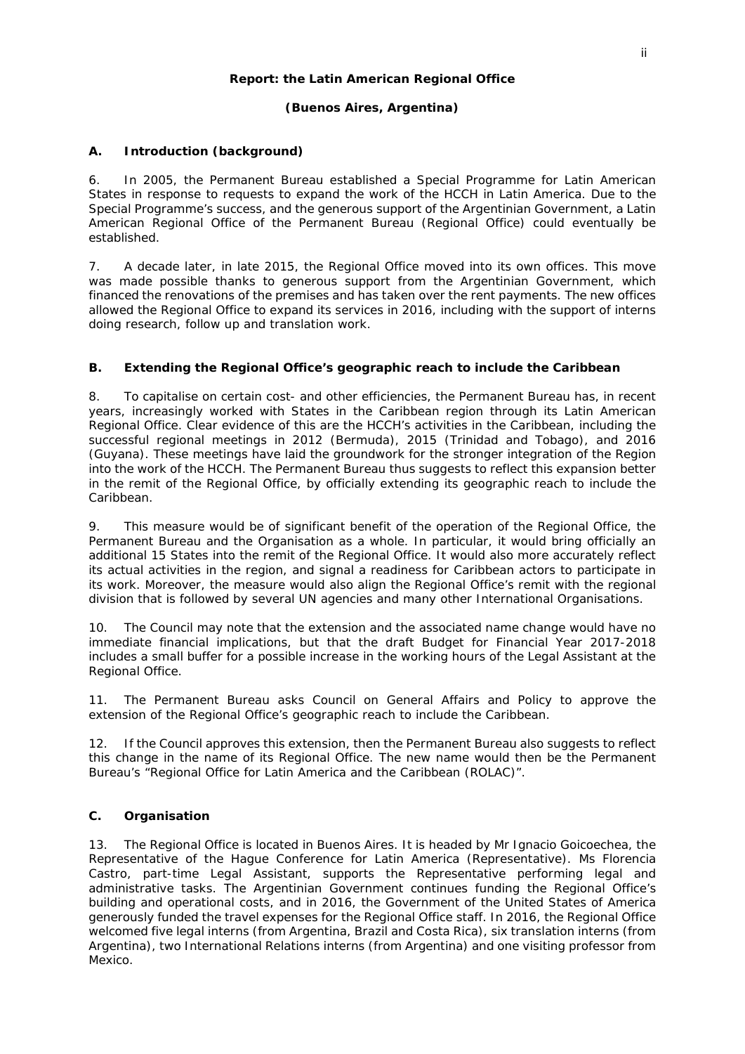#### **Report: the Latin American Regional Office**

## **(Buenos Aires, Argentina)**

## **A. Introduction (background)**

6. In 2005, the Permanent Bureau established a Special Programme for Latin American States in response to requests to expand the work of the HCCH in Latin America. Due to the Special Programme's success, and the generous support of the Argentinian Government, a Latin American Regional Office of the Permanent Bureau (Regional Office) could eventually be established.

7. A decade later, in late 2015, the Regional Office moved into its own offices. This move was made possible thanks to generous support from the Argentinian Government, which financed the renovations of the premises and has taken over the rent payments. The new offices allowed the Regional Office to expand its services in 2016, including with the support of interns doing research, follow up and translation work.

### **B. Extending the Regional Office's geographic reach to include the Caribbean**

8. To capitalise on certain cost- and other efficiencies, the Permanent Bureau has, in recent years, increasingly worked with States in the Caribbean region through its Latin American Regional Office. Clear evidence of this are the HCCH's activities in the Caribbean, including the successful regional meetings in 2012 (Bermuda), 2015 (Trinidad and Tobago), and 2016 (Guyana). These meetings have laid the groundwork for the stronger integration of the Region into the work of the HCCH. The Permanent Bureau thus suggests to reflect this expansion better in the remit of the Regional Office, by officially extending its geographic reach to include the Caribbean.

9. This measure would be of significant benefit of the operation of the Regional Office, the Permanent Bureau and the Organisation as a whole. In particular, it would bring officially an additional 15 States into the remit of the Regional Office. It would also more accurately reflect its actual activities in the region, and signal a readiness for Caribbean actors to participate in its work. Moreover, the measure would also align the Regional Office's remit with the regional division that is followed by several UN agencies and many other International Organisations.

10. The Council may note that the extension and the associated name change would have no immediate financial implications, but that the draft Budget for Financial Year 2017-2018 includes a small buffer for a possible increase in the working hours of the Legal Assistant at the Regional Office.

11. The Permanent Bureau asks Council on General Affairs and Policy to approve the extension of the Regional Office's geographic reach to include the Caribbean.

12. If the Council approves this extension, then the Permanent Bureau also suggests to reflect this change in the name of its Regional Office. The new name would then be the Permanent Bureau's "Regional Office for Latin America and the Caribbean (ROLAC)".

## **C. Organisation**

13. The Regional Office is located in Buenos Aires. It is headed by Mr Ignacio Goicoechea, the Representative of the Hague Conference for Latin America (Representative). Ms Florencia Castro, part-time Legal Assistant, supports the Representative performing legal and administrative tasks. The Argentinian Government continues funding the Regional Office's building and operational costs, and in 2016, the Government of the United States of America generously funded the travel expenses for the Regional Office staff. In 2016, the Regional Office welcomed five legal interns (from Argentina, Brazil and Costa Rica), six translation interns (from Argentina), two International Relations interns (from Argentina) and one visiting professor from Mexico.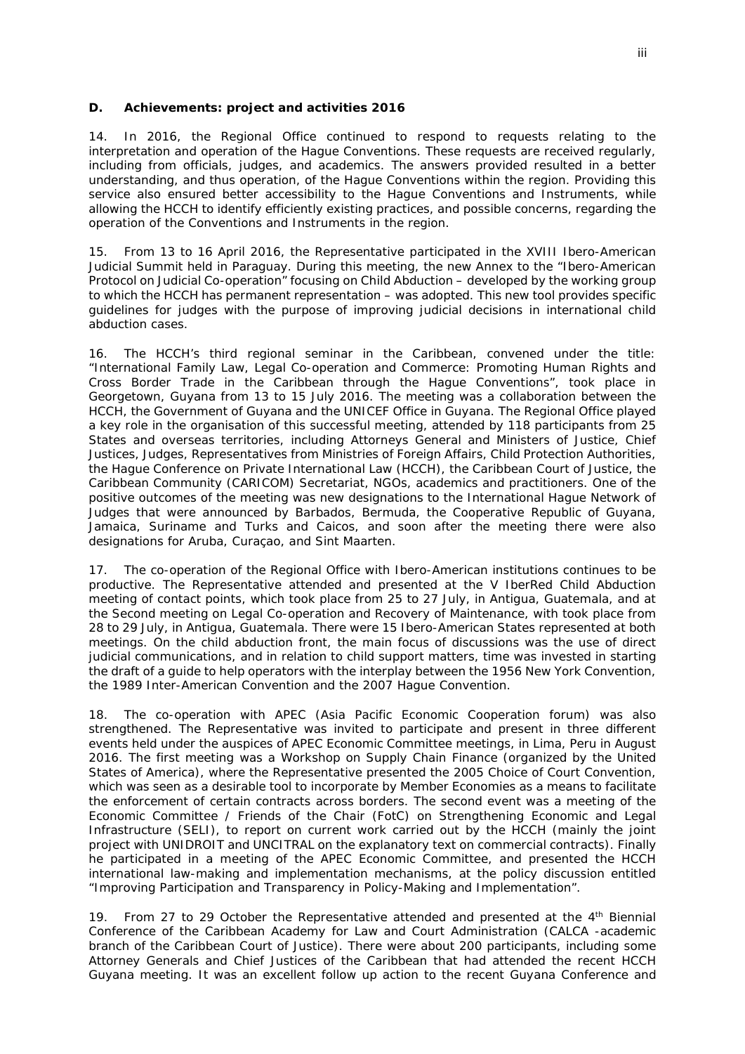#### **D. Achievements: project and activities 2016**

14. In 2016, the Regional Office continued to respond to requests relating to the interpretation and operation of the Hague Conventions. These requests are received regularly, including from officials, judges, and academics. The answers provided resulted in a better understanding, and thus operation, of the Hague Conventions within the region. Providing this service also ensured better accessibility to the Hague Conventions and Instruments, while allowing the HCCH to identify efficiently existing practices, and possible concerns, regarding the operation of the Conventions and Instruments in the region.

15. From 13 to 16 April 2016, the Representative participated in the XVIII Ibero-American Judicial Summit held in Paraguay. During this meeting, the new Annex to the "Ibero-American Protocol on Judicial Co-operation" focusing on Child Abduction – developed by the working group to which the HCCH has permanent representation – was adopted. This new tool provides specific guidelines for judges with the purpose of improving judicial decisions in international child abduction cases.

16. The HCCH's third regional seminar in the Caribbean, convened under the title: "International Family Law, Legal Co-operation and Commerce: Promoting Human Rights and Cross Border Trade in the Caribbean through the Hague Conventions", took place in Georgetown, Guyana from 13 to 15 July 2016. The meeting was a collaboration between the HCCH, the Government of Guyana and the UNICEF Office in Guyana. The Regional Office played a key role in the organisation of this successful meeting, attended by 118 participants from 25 States and overseas territories, including Attorneys General and Ministers of Justice, Chief Justices, Judges, Representatives from Ministries of Foreign Affairs, Child Protection Authorities, the Hague Conference on Private International Law (HCCH), the Caribbean Court of Justice, the Caribbean Community (CARICOM) Secretariat, NGOs, academics and practitioners. One of the positive outcomes of the meeting was new designations to the International Hague Network of Judges that were announced by Barbados, Bermuda, the Cooperative Republic of Guyana, Jamaica, Suriname and Turks and Caicos, and soon after the meeting there were also designations for Aruba, Curaçao, and Sint Maarten.

17. The co-operation of the Regional Office with Ibero-American institutions continues to be productive. The Representative attended and presented at the V IberRed Child Abduction meeting of contact points, which took place from 25 to 27 July, in Antigua, Guatemala, and at the Second meeting on Legal Co-operation and Recovery of Maintenance, with took place from 28 to 29 July, in Antigua, Guatemala. There were 15 Ibero-American States represented at both meetings. On the child abduction front, the main focus of discussions was the use of direct judicial communications, and in relation to child support matters, time was invested in starting the draft of a guide to help operators with the interplay between the 1956 New York Convention, the 1989 Inter-American Convention and the 2007 Hague Convention.

18. The co-operation with APEC (Asia Pacific Economic Cooperation forum) was also strengthened. The Representative was invited to participate and present in three different events held under the auspices of APEC Economic Committee meetings, in Lima, Peru in August 2016. The first meeting was a Workshop on Supply Chain Finance (organized by the United States of America), where the Representative presented the 2005 Choice of Court Convention, which was seen as a desirable tool to incorporate by Member Economies as a means to facilitate the enforcement of certain contracts across borders. The second event was a meeting of the Economic Committee / Friends of the Chair (FotC) on Strengthening Economic and Legal Infrastructure (SELI), to report on current work carried out by the HCCH (mainly the joint project with UNIDROIT and UNCITRAL on the explanatory text on commercial contracts). Finally he participated in a meeting of the APEC Economic Committee, and presented the HCCH international law-making and implementation mechanisms, at the policy discussion entitled "Improving Participation and Transparency in Policy-Making and Implementation".

19. From 27 to 29 October the Representative attended and presented at the  $4<sup>th</sup>$  Biennial Conference of the Caribbean Academy for Law and Court Administration (CALCA -academic branch of the Caribbean Court of Justice). There were about 200 participants, including some Attorney Generals and Chief Justices of the Caribbean that had attended the recent HCCH Guyana meeting. It was an excellent follow up action to the recent Guyana Conference and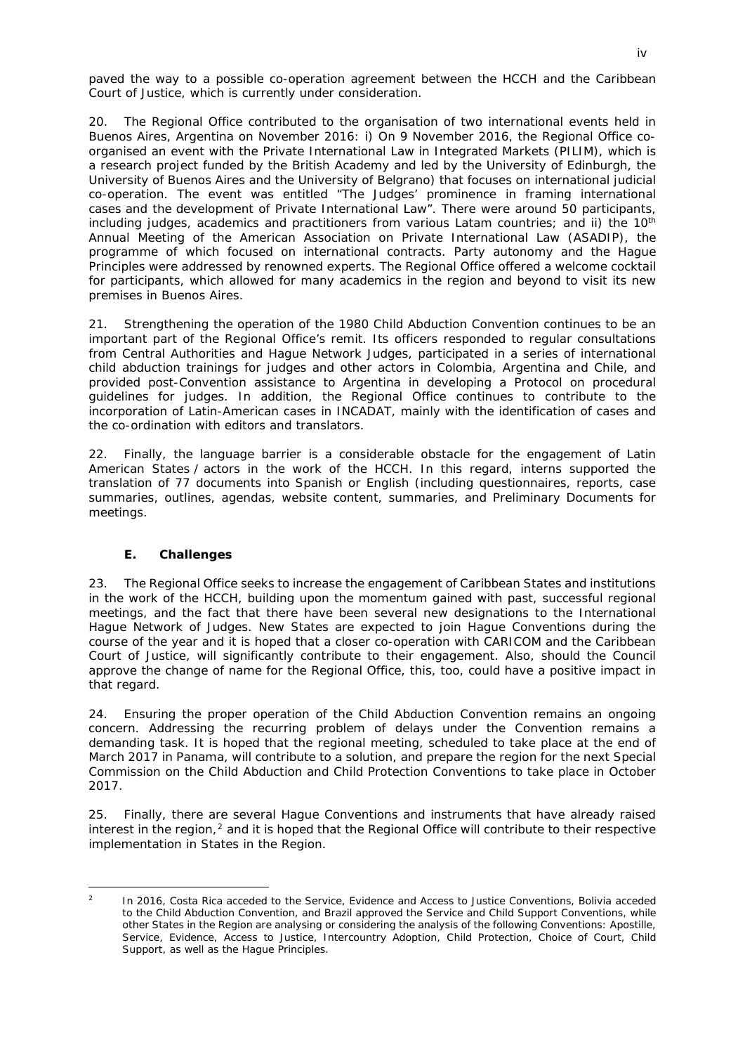paved the way to a possible co-operation agreement between the HCCH and the Caribbean Court of Justice, which is currently under consideration.

20. The Regional Office contributed to the organisation of two international events held in Buenos Aires, Argentina on November 2016: i) On 9 November 2016, the Regional Office coorganised an event with the Private International Law in Integrated Markets (PILIM), which is a research project funded by the British Academy and led by the University of Edinburgh, the University of Buenos Aires and the University of Belgrano) that focuses on international judicial co-operation. The event was entitled "The Judges' prominence in framing international cases and the development of Private International Law". There were around 50 participants, including judges, academics and practitioners from various Latam countries; and ii) the 10<sup>th</sup> Annual Meeting of the American Association on Private International Law (ASADIP), the programme of which focused on international contracts. Party autonomy and the Hague Principles were addressed by renowned experts. The Regional Office offered a welcome cocktail for participants, which allowed for many academics in the region and beyond to visit its new premises in Buenos Aires.

21. Strengthening the operation of the 1980 Child Abduction Convention continues to be an important part of the Regional Office's remit. Its officers responded to regular consultations from Central Authorities and Hague Network Judges, participated in a series of international child abduction trainings for judges and other actors in Colombia, Argentina and Chile, and provided post-Convention assistance to Argentina in developing a Protocol on procedural guidelines for judges. In addition, the Regional Office continues to contribute to the incorporation of Latin-American cases in INCADAT, mainly with the identification of cases and the co-ordination with editors and translators.

22. Finally, the language barrier is a considerable obstacle for the engagement of Latin American States / actors in the work of the HCCH. In this regard, interns supported the translation of 77 documents into Spanish or English (including questionnaires, reports, case summaries, outlines, agendas, website content, summaries, and Preliminary Documents for meetings.

### **E. Challenges**

<u>.</u>

23. The Regional Office seeks to increase the engagement of Caribbean States and institutions in the work of the HCCH, building upon the momentum gained with past, successful regional meetings, and the fact that there have been several new designations to the International Hague Network of Judges. New States are expected to join Hague Conventions during the course of the year and it is hoped that a closer co-operation with CARICOM and the Caribbean Court of Justice, will significantly contribute to their engagement. Also, should the Council approve the change of name for the Regional Office, this, too, could have a positive impact in that regard.

24. Ensuring the proper operation of the Child Abduction Convention remains an ongoing concern. Addressing the recurring problem of delays under the Convention remains a demanding task. It is hoped that the regional meeting, scheduled to take place at the end of March 2017 in Panama, will contribute to a solution, and prepare the region for the next Special Commission on the Child Abduction and Child Protection Conventions to take place in October 2017.

25. Finally, there are several Hague Conventions and instruments that have already raised interest in the region, $<sup>2</sup>$  $<sup>2</sup>$  $<sup>2</sup>$  and it is hoped that the Regional Office will contribute to their respective</sup> implementation in States in the Region.

<span id="page-4-0"></span><sup>2</sup> In 2016, Costa Rica acceded to the Service, Evidence and Access to Justice Conventions, Bolivia acceded to the Child Abduction Convention, and Brazil approved the Service and Child Support Conventions, while other States in the Region are analysing or considering the analysis of the following Conventions: Apostille, Service, Evidence, Access to Justice, Intercountry Adoption, Child Protection, Choice of Court, Child Support, as well as the Hague Principles.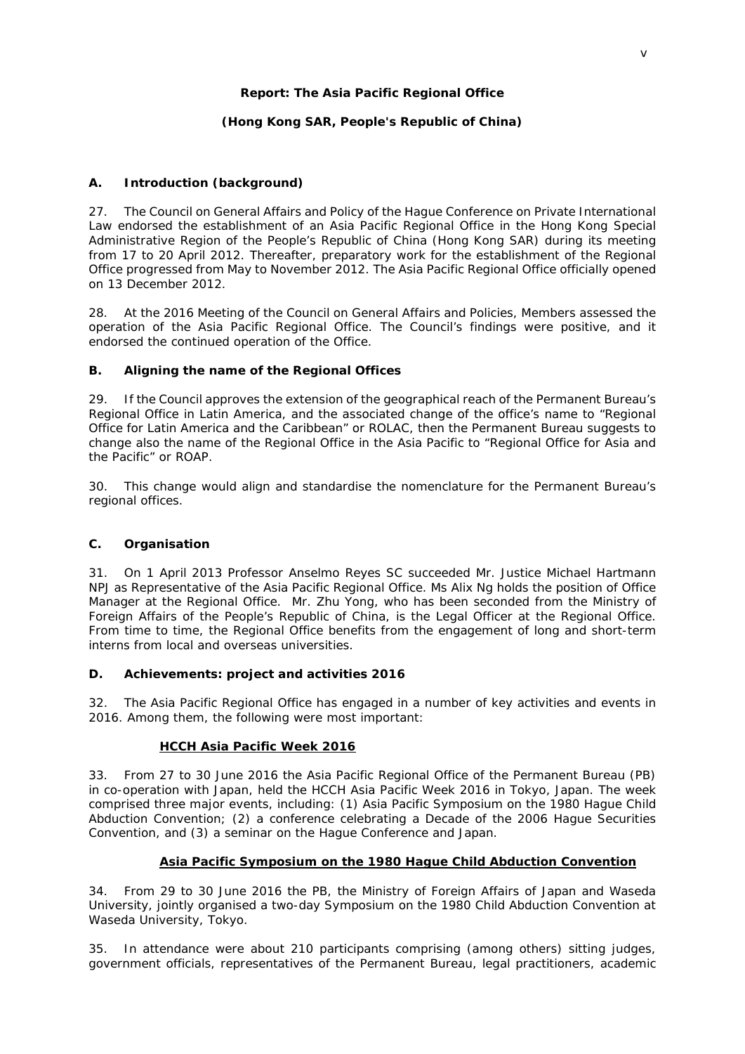#### **Report: The Asia Pacific Regional Office**

## **(Hong Kong SAR, People's Republic of China)**

## **A. Introduction (background)**

27. The Council on General Affairs and Policy of the Hague Conference on Private International Law endorsed the establishment of an Asia Pacific Regional Office in the Hong Kong Special Administrative Region of the People's Republic of China (Hong Kong SAR) during its meeting from 17 to 20 April 2012. Thereafter, preparatory work for the establishment of the Regional Office progressed from May to November 2012. The Asia Pacific Regional Office officially opened on 13 December 2012.

28. At the 2016 Meeting of the Council on General Affairs and Policies, Members assessed the operation of the Asia Pacific Regional Office. The Council's findings were positive, and it endorsed the continued operation of the Office.

### **B. Aligning the name of the Regional Offices**

29. If the Council approves the extension of the geographical reach of the Permanent Bureau's Regional Office in Latin America, and the associated change of the office's name to "Regional Office for Latin America and the Caribbean" or ROLAC, then the Permanent Bureau suggests to change also the name of the Regional Office in the Asia Pacific to "Regional Office for Asia and the Pacific" or ROAP.

30. This change would align and standardise the nomenclature for the Permanent Bureau's regional offices.

### **C. Organisation**

31. On 1 April 2013 Professor Anselmo Reyes SC succeeded Mr. Justice Michael Hartmann NPJ as Representative of the Asia Pacific Regional Office. Ms Alix Ng holds the position of Office Manager at the Regional Office. Mr. Zhu Yong, who has been seconded from the Ministry of Foreign Affairs of the People's Republic of China, is the Legal Officer at the Regional Office. From time to time, the Regional Office benefits from the engagement of long and short-term interns from local and overseas universities.

### **D. Achievements: project and activities 2016**

32. The Asia Pacific Regional Office has engaged in a number of key activities and events in 2016. Among them, the following were most important:

### *HCCH Asia Pacific Week 2016*

33. From 27 to 30 June 2016 the Asia Pacific Regional Office of the Permanent Bureau (PB) in co-operation with Japan, held the HCCH Asia Pacific Week 2016 in Tokyo, Japan. The week comprised three major events, including: (1) Asia Pacific Symposium on the 1980 Hague Child Abduction Convention; (2) a conference celebrating a Decade of the 2006 Hague Securities Convention, and (3) a seminar on the Hague Conference and Japan.

# *Asia Pacific Symposium on the 1980 Hague Child Abduction Convention*

34. From 29 to 30 June 2016 the PB, the Ministry of Foreign Affairs of Japan and Waseda University, jointly organised a two-day Symposium on the 1980 Child Abduction Convention at Waseda University, Tokyo.

35. In attendance were about 210 participants comprising (among others) sitting judges, government officials, representatives of the Permanent Bureau, legal practitioners, academic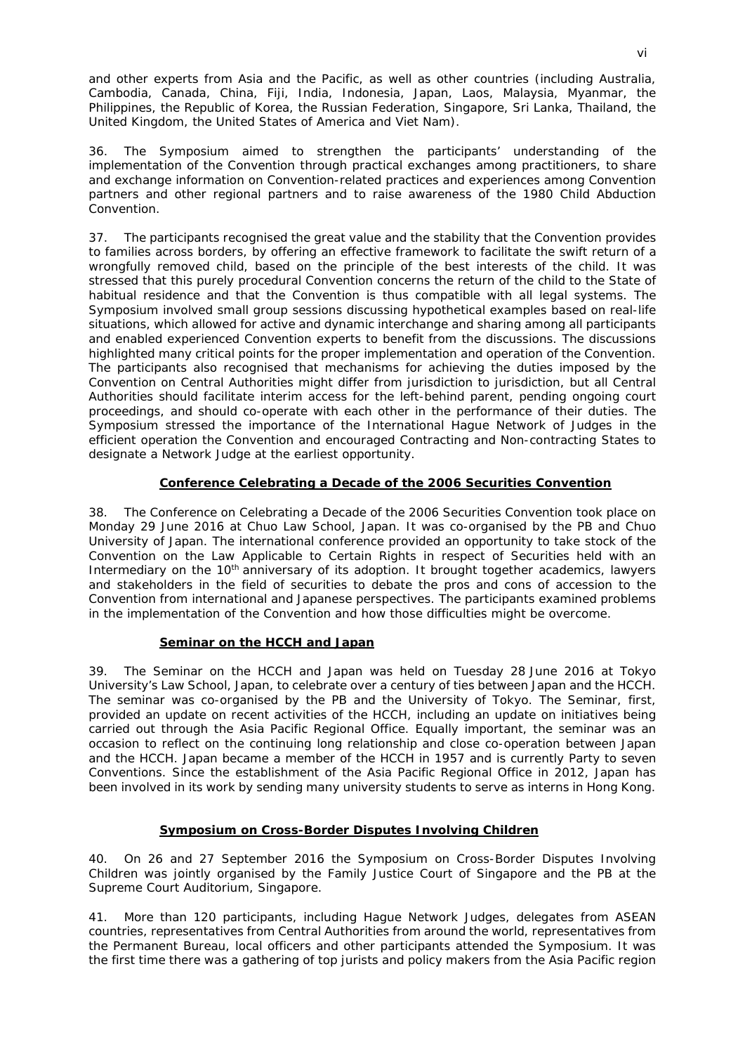and other experts from Asia and the Pacific, as well as other countries (including Australia, Cambodia, Canada, China, Fiji, India, Indonesia, Japan, Laos, Malaysia, Myanmar, the Philippines, the Republic of Korea, the Russian Federation, Singapore, Sri Lanka, Thailand, the United Kingdom, the United States of America and Viet Nam).

36. The Symposium aimed to strengthen the participants' understanding of the implementation of the Convention through practical exchanges among practitioners, to share and exchange information on Convention-related practices and experiences among Convention partners and other regional partners and to raise awareness of the 1980 Child Abduction Convention.

37. The participants recognised the great value and the stability that the Convention provides to families across borders, by offering an effective framework to facilitate the swift return of a wrongfully removed child, based on the principle of the best interests of the child. It was stressed that this purely procedural Convention concerns the return of the child to the State of habitual residence and that the Convention is thus compatible with all legal systems. The Symposium involved small group sessions discussing hypothetical examples based on real-life situations, which allowed for active and dynamic interchange and sharing among all participants and enabled experienced Convention experts to benefit from the discussions. The discussions highlighted many critical points for the proper implementation and operation of the Convention. The participants also recognised that mechanisms for achieving the duties imposed by the Convention on Central Authorities might differ from jurisdiction to jurisdiction, but all Central Authorities should facilitate interim access for the left-behind parent, pending ongoing court proceedings, and should co-operate with each other in the performance of their duties. The Symposium stressed the importance of the International Hague Network of Judges in the efficient operation the Convention and encouraged Contracting and Non-contracting States to designate a Network Judge at the earliest opportunity.

## *Conference Celebrating a Decade of the 2006 Securities Convention*

38. The Conference on Celebrating a Decade of the 2006 Securities Convention took place on Monday 29 June 2016 at Chuo Law School, Japan. It was co-organised by the PB and Chuo University of Japan. The international conference provided an opportunity to take stock of the *Convention on the Law Applicable to Certain Rights in respect of Securities held with an Intermediary* on the 10<sup>th</sup> anniversary of its adoption. It brought together academics, lawyers and stakeholders in the field of securities to debate the pros and cons of accession to the Convention from international and Japanese perspectives. The participants examined problems in the implementation of the Convention and how those difficulties might be overcome.

### *Seminar on the HCCH and Japan*

39. The Seminar on the HCCH and Japan was held on Tuesday 28 June 2016 at Tokyo University's Law School, Japan, to celebrate over a century of ties between Japan and the HCCH. The seminar was co-organised by the PB and the University of Tokyo. The Seminar, first, provided an update on recent activities of the HCCH, including an update on initiatives being carried out through the Asia Pacific Regional Office. Equally important, the seminar was an occasion to reflect on the continuing long relationship and close co-operation between Japan and the HCCH. Japan became a member of the HCCH in 1957 and is currently Party to seven Conventions. Since the establishment of the Asia Pacific Regional Office in 2012, Japan has been involved in its work by sending many university students to serve as interns in Hong Kong.

## *Symposium on Cross-Border Disputes Involving Children*

40. On 26 and 27 September 2016 the Symposium on Cross-Border Disputes Involving Children was jointly organised by the Family Justice Court of Singapore and the PB at the Supreme Court Auditorium, Singapore.

41. More than 120 participants, including Hague Network Judges, delegates from ASEAN countries, representatives from Central Authorities from around the world, representatives from the Permanent Bureau, local officers and other participants attended the Symposium. It was the first time there was a gathering of top jurists and policy makers from the Asia Pacific region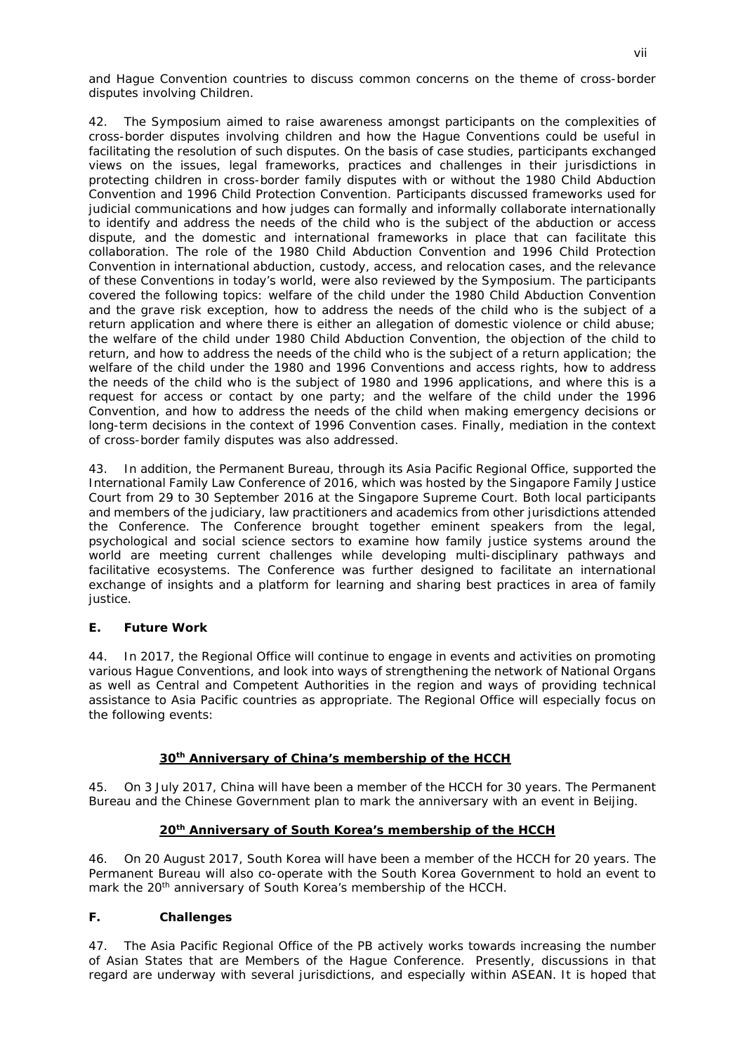and Hague Convention countries to discuss common concerns on the theme of cross-border disputes involving Children.

42. The Symposium aimed to raise awareness amongst participants on the complexities of cross-border disputes involving children and how the Hague Conventions could be useful in facilitating the resolution of such disputes. On the basis of case studies, participants exchanged views on the issues, legal frameworks, practices and challenges in their jurisdictions in protecting children in cross-border family disputes with or without the 1980 Child Abduction Convention and 1996 Child Protection Convention. Participants discussed frameworks used for judicial communications and how judges can formally and informally collaborate internationally to identify and address the needs of the child who is the subject of the abduction or access dispute, and the domestic and international frameworks in place that can facilitate this collaboration. The role of the 1980 Child Abduction Convention and 1996 Child Protection Convention in international abduction, custody, access, and relocation cases, and the relevance of these Conventions in today's world, were also reviewed by the Symposium. The participants covered the following topics: welfare of the child under the 1980 Child Abduction Convention and the grave risk exception, how to address the needs of the child who is the subject of a return application and where there is either an allegation of domestic violence or child abuse; the welfare of the child under 1980 Child Abduction Convention, the objection of the child to return, and how to address the needs of the child who is the subject of a return application; the welfare of the child under the 1980 and 1996 Conventions and access rights, how to address the needs of the child who is the subject of 1980 and 1996 applications, and where this is a request for access or contact by one party; and the welfare of the child under the 1996 Convention, and how to address the needs of the child when making emergency decisions or long-term decisions in the context of 1996 Convention cases. Finally, mediation in the context of cross-border family disputes was also addressed.

43. In addition, the Permanent Bureau, through its Asia Pacific Regional Office, supported the International Family Law Conference of 2016, which was hosted by the Singapore Family Justice Court from 29 to 30 September 2016 at the Singapore Supreme Court. Both local participants and members of the judiciary, law practitioners and academics from other jurisdictions attended the Conference. The Conference brought together eminent speakers from the legal, psychological and social science sectors to examine how family justice systems around the world are meeting current challenges while developing multi-disciplinary pathways and facilitative ecosystems. The Conference was further designed to facilitate an international exchange of insights and a platform for learning and sharing best practices in area of family justice.

### **E. Future Work**

44. In 2017, the Regional Office will continue to engage in events and activities on promoting various Hague Conventions, and look into ways of strengthening the network of National Organs as well as Central and Competent Authorities in the region and ways of providing technical assistance to Asia Pacific countries as appropriate. The Regional Office will especially focus on the following events:

### *30th Anniversary of China's membership of the HCCH*

45. On 3 July 2017, China will have been a member of the HCCH for 30 years. The Permanent Bureau and the Chinese Government plan to mark the anniversary with an event in Beijing.

### *20th Anniversary of South Korea's membership of the HCCH*

46. On 20 August 2017, South Korea will have been a member of the HCCH for 20 years. The Permanent Bureau will also co-operate with the South Korea Government to hold an event to mark the 20<sup>th</sup> anniversary of South Korea's membership of the HCCH.

### **F. Challenges**

47. The Asia Pacific Regional Office of the PB actively works towards increasing the number of Asian States that are Members of the Hague Conference. Presently, discussions in that regard are underway with several jurisdictions, and especially within ASEAN. It is hoped that